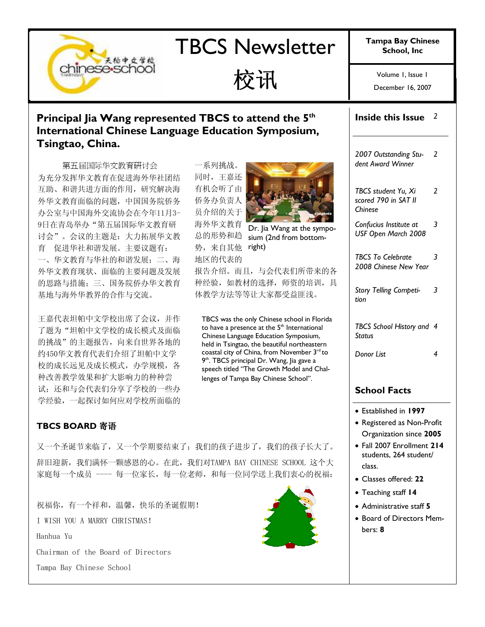# TBCS Newsletter | Tampa Bay Chinese

December 16, 2007  $\overrightarrow{X}$   $\overrightarrow{H}$   $\overrightarrow{V}$   $\overrightarrow{V}$   $\overrightarrow{V}$   $\overrightarrow{V}$   $\overrightarrow{V}$   $\overrightarrow{V}$   $\overrightarrow{V}$   $\overrightarrow{V}$   $\overrightarrow{V}$   $\overrightarrow{V}$   $\overrightarrow{V}$   $\overrightarrow{V}$   $\overrightarrow{V}$   $\overrightarrow{V}$   $\overrightarrow{V}$   $\overrightarrow{V}$   $\overrightarrow{V}$   $\overrightarrow{V}$   $\overrightarrow{V}$   $\overrightarrow{V}$   $\overrightarrow{V}$   $\overrightarrow{V}$   $\overrightarrow{$ 

### Principal Jia Wang represented TBCS to attend the 5<sup>th</sup> International Chinese Language Education Symposium, Tsingtao, China.

第五届国际华文教育研讨会 为充分发挥华文教育在促进海外华社团结 互助、和谐共进方面的作用,研究解决海 外华文教育面临的问题,中国国务院侨务 办公室与中国海外交流协会在今年11月3- 9日在青岛举办"第五届国际华文教育研 讨会"。会议的主题是:大力拓展华文教 育 促进华社和谐发展。主要议题有: 一、华文教育与华社的和谐发展;二、海 外华文教育现状、面临的主要问题及发展 的思路与措施;三、国务院侨办华文教育 基地与海外华教界的合作与交流。

天柏中文学校

chinese-school

王嘉代表坦帕中文学校出席了会议,并作 了题为"坦帕中文学校的成长模式及面临 的挑战"的主题报告,向来自世界各地的 约450华文教育代表们介绍了坦帕中文学 校的成长远见及成长模式,办学规模,各 种改善教学效果和扩大影响力的种种尝 试;还和与会代表们分享了学校的一些办 学经验,一起探讨如何应对学校所面临的

#### TBCS BOARD 寄语

一系列挑战。 同时,王嘉还 有机会听了由 侨务办负责人 员介绍的关于 海外华文教育 总的形势和趋 势, 来自其他 right) 地区的代表的



Dr. Jia Wang at the symposium (2nd from bottom-

报告介绍。而且,与会代表们所带来的各 种经验,如教材的选择,师资的培训,具 体教学方法等等让大家都受益匪浅。

TBCS was the only Chinese school in Florida to have a presence at the  $5<sup>th</sup>$  International Chinese Language Education Symposium, held in Tsingtao, the beautiful northeastern coastal city of China, from November 3rd to 9<sup>th</sup>. TBCS principal Dr. Wang, Jia gave a speech titled "The Growth Model and Challenges of Tampa Bay Chinese School".

又一个圣诞节来临了,又一个学期要结束了;我们的孩子进步了,我们的孩子长大了。 辞旧迎新,我们满怀一颗感恩的心。在此,我们对TAMPA BAY CHINESE SCHOOL 这个大 家庭每一个成员 ---- 每一位家长, 每一位老师, 和每一位同学送上我们衷心的祝福:

祝福你,有一个祥和,温馨,快乐的圣诞假期! I WISH YOU A MARRY CHRISTMAS! Hanhua Yu Chairman of the Board of Directors Tampa Bay Chinese School



# Inside this Issue  $2$

2007 Outstanding Student Award Winner 2

TBCS student Yu, Xi scored 790 in SAT II Chinese  $\overline{\phantom{a}}$ 

Confucius Institute at USF Open March 2008 3

TBCS To Celebrate 2008 Chinese New Year 3

Story Telling Competition 3

TBCS School History and 4 **Status** 

Donor List 4

### School Facts

- Established in 1997
- Registered as Non-Profit Organization since 2005
- Fall 2007 Enrollment 214 students, 264 student/ class.
- Classes offered: 22
- Teaching staff 14
- Administrative staff 5
- Board of Directors Members: 8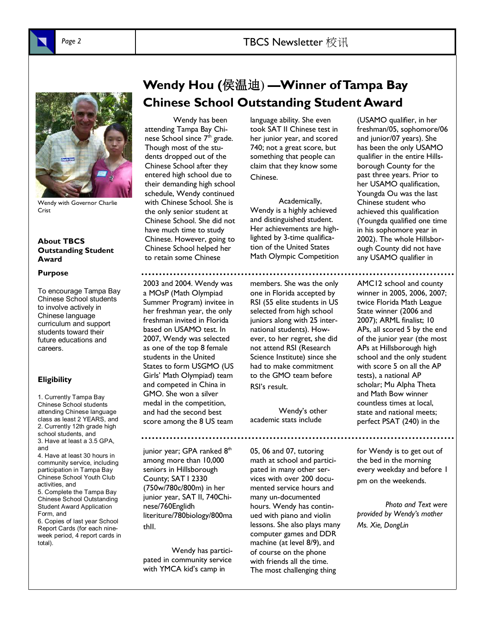Page 2 TBCS Newsletter 校讯



Wendy with Governor Charlie Crist

#### About TBCS Outstanding Student Award

#### Purpose

To encourage Tampa Bay Chinese School students to involve actively in Chinese language curriculum and support students toward their future educations and careers.

#### **Eligibility**

1. Currently Tampa Bay Chinese School students attending Chinese language class as least 2 YEARS, and 2. Currently 12th grade high school students, and 3. Have at least a 3.5 GPA, and 4. Have at least 30 hours in community service, including participation in Tampa Bay Chinese School Youth Club activities, and

5. Complete the Tampa Bay Chinese School Outstanding Student Award Application Form, and

6. Copies of last year School Report Cards (for each nineweek period, 4 report cards in total).

# Wendy Hou (侯温迪) —Winner of Tampa Bay Chinese School Outstanding Student Award

Wendy has been attending Tampa Bay Chinese School since 7<sup>th</sup> grade. Though most of the students dropped out of the Chinese School after they entered high school due to their demanding high school schedule, Wendy continued with Chinese School. She is the only senior student at Chinese School. She did not have much time to study Chinese. However, going to Chinese School helped her to retain some Chinese

language ability. She even took SAT II Chinese test in her junior year, and scored 740; not a great score, but something that people can claim that they know some Chinese.

Academically, Wendy is a highly achieved and distinguished student. Her achievements are highlighted by 3-time qualification of the United States Math Olympic Competition

members. She was the only one in Florida accepted by RSI (55 elite students in US selected from high school juniors along with 25 international students). However, to her regret, she did not attend RSI (Research Science Institute) since she had to make commitment to the GMO team before RSI's result.

Wendy's other academic stats include

05, 06 and 07, tutoring math at school and participated in many other services with over 200 documented service hours and many un-documented hours. Wendy has continued with piano and violin lessons. She also plays many computer games and DDR machine (at level 8/9), and of course on the phone with friends all the time. The most challenging thing

(USAMO qualifier, in her freshman/05, sophomore/06 and junior/07 years). She has been the only USAMO qualifier in the entire Hillsborough County for the past three years. Prior to her USAMO qualification, Youngda Ou was the last Chinese student who achieved this qualification (Youngda qualified one time in his sophomore year in 2002). The whole Hillsborough County did not have any USAMO qualifier in

AMC12 school and county winner in 2005, 2006, 2007; twice Florida Math League State winner (2006 and 2007); ARML finalist; 10 APs, all scored 5 by the end of the junior year (the most APs at Hillsborough high school and the only student with score 5 on all the AP tests), a national AP scholar; Mu Alpha Theta and Math Bow winner countless times at local, state and national meets; perfect PSAT (240) in the

for Wendy is to get out of the bed in the morning every weekday and before 1 pm on the weekends.

Photo and Text were provided by Wendy's mother Ms. Xie, DongLin

2003 and 2004. Wendy was a MOsP (Math Olympiad Summer Program) invitee in her freshman year, the only freshman invited in Florida based on USAMO test. In 2007, Wendy was selected as one of the top 8 female students in the United States to form USGMO (US Girls' Math Olympiad) team and competed in China in GMO. She won a silver medal in the competition, and had the second best score among the 8 US team

junior year; GPA ranked  $8<sup>th</sup>$ among more than 10,000 seniors in Hillsborough County; SAT I 2330 (750w/780c/800m) in her junior year, SAT II, 740Chinese/760Englidh literiture/780biology/800ma thII.

 Wendy has participated in community service with YMCA kid's camp in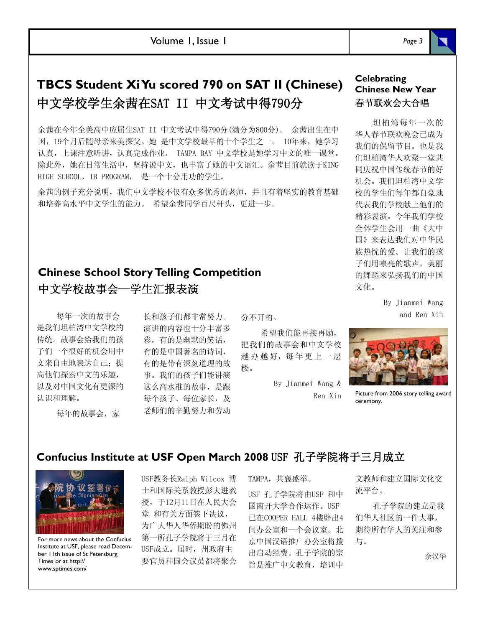Volume 1, Issue 1

# TBCS Student Xi Yu scored 790 on SAT II (Chinese) 中文学校学生余茜在SAT II 中文考试中得790分

余茜在今年全美高中应届生SAT II 中文考试中得790分(满分为800分)。 余茜出生在中 国,19个月后随母亲来美探父。她 是中文学校最早的十个学生之一。 10年来,她学习 认真,上课注意听讲,认真完成作业。 TAMPA BAY 中文学校是她学习中文的唯一课堂。 除此外,她在日常生活中,坚持说中文,也丰富了她的中文语汇。余茜目前就读于KING HIGH SCHOOL, IB PROGRAM, 是一个十分用功的学生。

余茜的例子充分说明,我们中文学校不仅有众多优秀的老师,并且有着坚实的教育基础 和培养高水平中文学生的能力。 希望余茜同学百尺杆头,更进一步。

## Chinese School Story Telling Competition 中文学校故事会一学生汇报表演

每年一次的故事会 是我们坦柏湾中文学校的 传统。故事会给我们的孩 子们一个很好的机会用中 文来自由地表达自己;提 高他们探索中文的乐趣, 以及对中国文化有更深的 认识和理解。

每年的故事会,家

长和孩子们都非常努力。 演讲的内容也十分丰富多 彩,有的是幽默的笑话, 有的是中国著名的诗词, 有的是带有深刻道理的故 事。我们的孩子们能讲演 这么高水准的故事,是跟 每个孩子、每位家长,及 老师们的辛勤努力和劳动

分不开的。

希望我们能再接再励, 把我们的故事会和中文学校 越 办 越 好,每年更 上 一 层 楼。

> By Jianmei Wang & Ren Xin



坦柏湾每年一次的 华人春节联欢晚会已成为 我们的保留节目。也是我 们坦柏湾华人欢聚一堂共 同庆祝中国传统春节的好 机会。我们坦柏湾中文学 校的学生们每年都自豪地 代表我们学校献上他们的 精彩表演。今年我们学校 全体学生会用一曲《大中 国》来表达我们对中华民 族热忱的爱。让我们的孩 子们用嘹亮的歌声,美丽 的舞蹈来弘扬我们的中国 文化。

> By Jianmei Wang and Ren Xin



Picture from 2006 story telling award ceremony.

### Confucius Institute at USF Open March 2008 USF 孔子学院将于三月成立



For more news about the Confucius Institute at USF, please read December 11th issue of St Petersburg Times or at http:// www.sptimes.com/

USF教务长Ralph Wilcox 博 士和国际关系教授彭大进教 授,于12月11日在人民大会 堂 和有关方面签下决议, 为广大华人华侨期盼的佛州 第一所孔子学院将于三月在 USF成立。届时,州政府主 要官员和国会议员都将聚会 TAMPA, 共襄盛举。 USF 孔子学院将由USF 和中 国南开大学合作运作。USF 已在COOPER HALL 4楼辟出4 间办公室和一个会议室。北 京中国汉语推广办公室将拨 出启动经费。孔子学院的宗 旨是推广中文教育,培训中

文教师和建立国际文化交 流平台。

孔子学院的建立是我 们华人社区的一件大事, 期待所有华人的关注和参 与。

余汉华

Page 3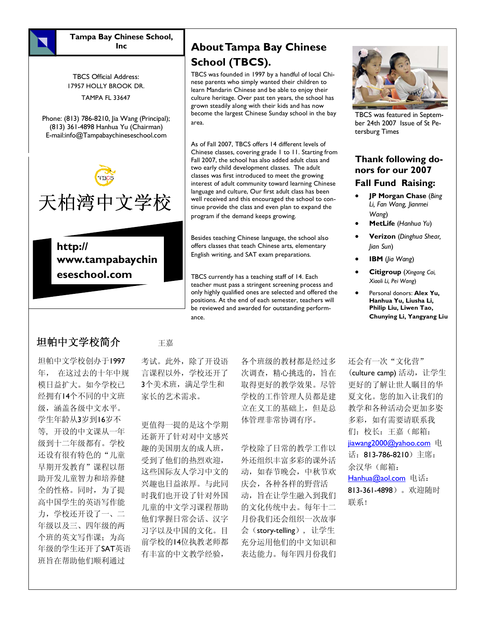

Tampa Bay Chinese School, Inc

TBCS Official Address: 17957 HOLLY BROOK DR. TAMPA FL 33647

Phone: (813) 786-8210, Jia Wang (Principal); (813) 361-4898 Hanhua Yu (Chairman) E-mail:info@Tampabaychineseschool.com



http:// www.tampabaychin eseschool.com

## About Tampa Bay Chinese School (TBCS).

TBCS was founded in 1997 by a handful of local Chinese parents who simply wanted their children to learn Mandarin Chinese and be able to enjoy their culture heritage. Over past ten years, the school has grown steadily along with their kids and has now become the largest Chinese Sunday school in the bay area.

As of Fall 2007, TBCS offers 14 different levels of Chinese classes, covering grade 1 to 11. Starting from Fall 2007, the school has also added adult class and two early child development classes. The adult classes was first introduced to meet the growing interest of adult community toward learning Chinese language and culture, Our first adult class has been well received and this encouraged the school to continue provide the class and even plan to expand the program if the demand keeps growing.

Besides teaching Chinese language, the school also offers classes that teach Chinese arts, elementary English writing, and SAT exam preparations.

TBCS currently has a teaching staff of 14. Each teacher must pass a stringent screening process and only highly qualified ones are selected and offered the positions. At the end of each semester, teachers will be reviewed and awarded for outstanding performance.



TBCS was featured in September 24th 2007 Issue of St Petersburg Times

### Thank following donors for our 2007

#### Fall Fund Raising:

- **JP Morgan Chase (Bing)** Li, Fan Wang, Jianmei Wang)
- MetLife (Hanhua Yu)
- Verizon (Dinghua Shear, Jian Sun)
- IBM (Jia Wang)
- Citigroup (Xingang Cai, Xiaoli Li, Pei Wang)
- Personal donors: Alex Yu, Hanhua Yu, Liusha Li, Philip Liu, Liwen Tao, Chunying Li, Yangyang Liu

## 坦帕中文学校简介 <sub>王嘉</sub>

坦帕中文学校创办于1997 年, 在这过去的十年中规 模日益扩大。如今学校已 经拥有14个不同的中文班 级,涵盖各级中文水平。 学生年龄从3岁到16岁不 等, 开设的中文课从一年 级到十二年级都有。学校 还设有很有特色的"儿童 早期开发教育"课程以帮 助开发儿童智力和培养健 全的性格。同时,为了提 高中国学生的英语写作能 力,学校还开设了一、二 年级以及三、四年级的两 个班的英文写作课;为高 年级的学生还开了SAT英语 班旨在帮助他们顺利通过

考试。此外,除了开设语 言课程以外,学校还开了 3个美术班,满足学生和 家长的艺术需求。

更值得一提的是这个学期 还新开了针对对中文感兴 趣的美国朋友的成人班, 受到了他们的热烈欢迎, 这些国际友人学习中文的 兴趣也日益浓厚。与此同 时我们也开设了针对外国 儿童的中文学习课程帮助 他们掌握日常会话、汉字 习字以及中国的文化。目 前学校的14位执教老师都 有丰富的中文教学经验,

各个班级的教材都是经过多 次调查,精心挑选的,旨在 取得更好的教学效果。尽管 学校的工作管理人员都是建 立在义工的基础上,但是总 体管理非常协调有序。

学校除了日常的教学工作以 外还组织丰富多彩的课外活 动,如春节晚会,中秋节欢 庆会,各种各样的野营活 动,旨在让学生融入到我们 的文化传统中去。每年十二 月份我们还会组织一次故事 会(story-telling), 让学生 充分运用他们的中文知识和 表达能力。每年四月份我们

还会有一次"文化营"

(culture camp) 活动,让学生 更好的了解让世人瞩目的华 夏文化。您的加入让我们的 教学和各种活动会更加多姿 多彩,如有需要请联系我 们:校长:王嘉(邮箱: jiawang2000@yahoo.com 电 话:813-786-8210)主席: 余汉华(邮箱: Hanhua@aol.com 电话: 813-361-4898)。欢迎随时 联系!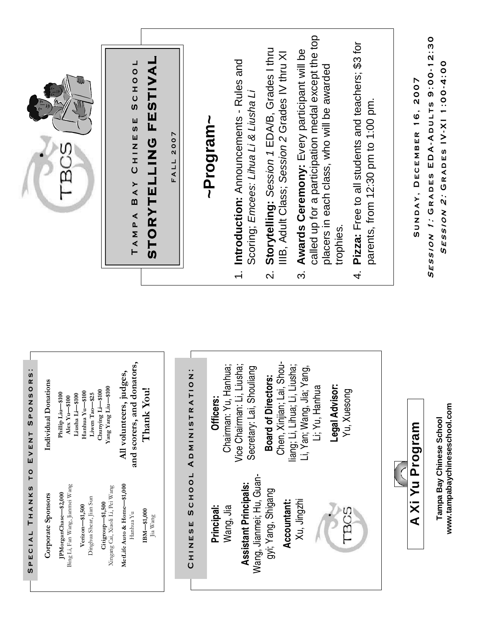|                                                           |                                                                                                                                                                                                                                                                              | STORYTELLING FESTIVAL<br>SCHOOL<br>CHINESE<br>BAY<br>TAMPA                                                                                                                                                                  | FALL 2007                                    | Introduction: Announcements - Rules and<br>Scoring; Emcees: Lihua Li & Liusha Li<br>~Program~<br>$\div$                                                                              | called up for a participation medal except the top<br>Storytelling: Session 1 EDA/B, Grades I thru<br>Awards Ceremony: Every participant will be<br>IIIB, Adult Class; Session 2 Grades IV thru XI<br>placers in each class, who will be awarded<br>trophies.<br>$\dot{\mathfrak{S}}$<br>$\overline{\mathsf{N}}$ | 4. Pizza: Free to all students and teachers; \$3 for<br>parents, from 12:30 pm to 1:00 pm | 9:00-12:30<br>SESSION 2: GRADES IV-XI 1:00-4:00<br>SUNDAY, DECEMBER 16, 2007<br>EDA-ADULTS<br>SESSION 1: GRADES |
|-----------------------------------------------------------|------------------------------------------------------------------------------------------------------------------------------------------------------------------------------------------------------------------------------------------------------------------------------|-----------------------------------------------------------------------------------------------------------------------------------------------------------------------------------------------------------------------------|----------------------------------------------|--------------------------------------------------------------------------------------------------------------------------------------------------------------------------------------|------------------------------------------------------------------------------------------------------------------------------------------------------------------------------------------------------------------------------------------------------------------------------------------------------------------|-------------------------------------------------------------------------------------------|-----------------------------------------------------------------------------------------------------------------|
| R S :<br>EVENT SPONSO<br>$\overline{r}$<br>SPECIAL THANKS | Individual Donations<br>Chunying Li-\$100<br>Hanhua Yu-\$100<br>Phillip Liu-\$100<br>Liwen Tao-\$25<br>Liusha Li-\$100<br>$Alex$ $Yu-$ \$100<br>Bing Li, Fan Wang, Jianmei Wang<br>JPMorganChase-\$2,000<br>Corporate Sponsors<br>Dinghua Shear, Jian Sun<br>Verizon-\$1,500 | and scorers, and donators,<br>All volunteers, judges,<br>Yang Yang Liu-\$100<br>Thank You!<br>MetLife Auto & Home-\$1,000<br>Xingang Cai, Xiaoli Li, Pei Wang<br>Citigroup-\$1,500<br>$IBM-$1,000$<br>Hanhua Yu<br>Jia Wang | .<br>Z<br>ADMINISTRATIO<br>SCHOOL<br>CHINESE | Vice Chairman: Li, Liusha;<br>Chairman: Yu, Hanhua;<br>Secretary: Lai, Shouliang<br>Officers:<br>Wang, Jianmei; Hu, Guan-<br><b>Assistant Principals:</b><br>Principal:<br>Wang, Jia | Chen, Xinjian; Lai, Shou-<br>liang; Li, Lihua; Li, Liusha;<br>ang,<br><b>Board of Directors:</b><br>Li, Yan; Wang, Jia; Y<br>Legal Advisor:<br>Li; Yu, Hanhua<br>gyi; Yang, Shigang<br>Xu, Jingzhi<br>Accountant:                                                                                                | Yu, Xuesong                                                                               | www.tampabaychineseschool.com<br>Tampa Bay Chinese School<br>A Xi Yu Program                                    |